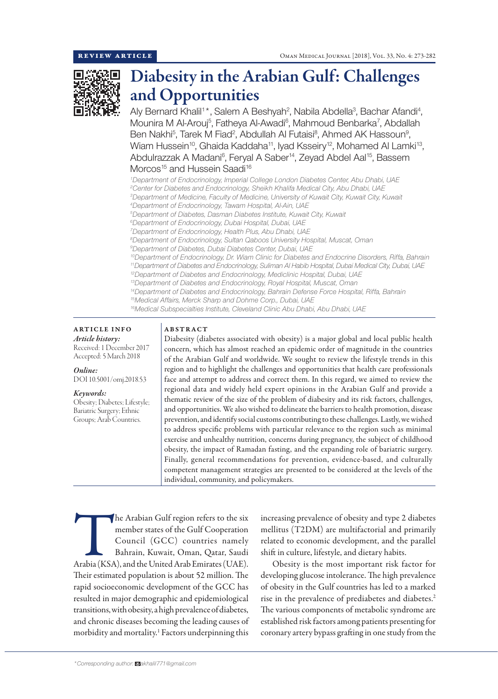

# Diabesity in the Arabian Gulf: Challenges and Opportunities

Aly Bernard Khalil<sup>1\*</sup>, Salem A Beshyah<sup>2</sup>, Nabila Abdella<sup>3</sup>, Bachar Afandi<sup>4</sup>, Mounira M Al-Arouj<sup>5</sup>, Fatheya Al-Awadi<sup>6</sup>, Mahmoud Benbarka<sup>7</sup>, Abdallah Ben Nakhi<sup>5</sup>, Tarek M Fiad<sup>2</sup>, Abdullah Al Futaisi<sup>8</sup>, Ahmed AK Hassoun<sup>9</sup>, Wiam Hussein<sup>10</sup>, Ghaida Kaddaha<sup>11</sup>, Iyad Ksseiry<sup>12</sup>, Mohamed Al Lamki<sup>13</sup>, Abdulrazzak A Madani<sup>6</sup>, Feryal A Saber<sup>14</sup>, Zeyad Abdel Aal<sup>15</sup>, Bassem Morcos<sup>15</sup> and Hussein Saadi<sup>16</sup>

*1 Department of Endocrinology, Imperial College London Diabetes Center, Abu Dhabi, UAE 2 Center for Diabetes and Endocrinology, Sheikh Khalifa Medical City, Abu Dhabi, UAE*

*5 Department of Diabetes, Dasman Diabetes Institute, Kuwait City, Kuwait*

*6 Department of Endocrinology, Dubai Hospital, Dubai, UAE*

*7 Department of Endocrinology, Health Plus, Abu Dhabi, UAE*

*8 Department of Endocrinology, Sultan Qaboos University Hospital, Muscat, Oman*

*9 Department of Diabetes, Dubai Diabetes Center, Dubai, UAE*

*10Department of Endocrinology, Dr. Wiam Clinic for Diabetes and Endocrine Disorders, Riffa, Bahrain*

*11Department of Diabetes and Endocrinology, Suliman Al Habib Hospital, Dubai Medical City, Dubai, UAE*

*12Department of Diabetes and Endocrinology, Mediclinic Hospital, Dubai, UAE*

*13Department of Diabetes and Endocrinology, Royal Hospital, Muscat, Oman 14Department of Diabetes and Endocrinology, Bahrain Defense Force Hospital, Riffa, Bahrain*

*15Medical Affairs, Merck Sharp and Dohme Corp., Dubai, UAE*

*16Medical Subspecialties Institute, Cleveland Clinic Abu Dhabi, Abu Dhabi, UAE*

ARTICLE INFO *Article history:* Received: 1 December 2017 Accepted: 5 March 2018

*Online:* DOI 10.5001/omj.2018.53

*Keywords:*  Obesity; Diabetes; Lifestyle; Bariatric Surgery; Ethnic Groups; Arab Countries.

## ABSTRACT

Diabesity (diabetes associated with obesity) is a major global and local public health concern, which has almost reached an epidemic order of magnitude in the countries of the Arabian Gulf and worldwide. We sought to review the lifestyle trends in this region and to highlight the challenges and opportunities that health care professionals face and attempt to address and correct them. In this regard, we aimed to review the regional data and widely held expert opinions in the Arabian Gulf and provide a thematic review of the size of the problem of diabesity and its risk factors, challenges, and opportunities. We also wished to delineate the barriers to health promotion, disease prevention, and identify social customs contributing to these challenges. Lastly, we wished to address specific problems with particular relevance to the region such as minimal exercise and unhealthy nutrition, concerns during pregnancy, the subject of childhood obesity, the impact of Ramadan fasting, and the expanding role of bariatric surgery. Finally, general recommendations for prevention, evidence-based, and culturally competent management strategies are presented to be considered at the levels of the individual, community, and policymakers.

The Arabian Gulf region refers to the six<br>
member states of the Gulf Cooperation<br>
Council (GCC) countries namely<br>
Bahrain, Kuwait, Oman, Qatar, Saudi<br>
Arabia (KSA), and the United Arab Emirates (UAE). member states of the Gulf Cooperation Council (GCC) countries namely Bahrain, Kuwait, Oman, Qatar, Saudi Their estimated population is about 52 million. The rapid socioeconomic development of the GCC has resulted in major demographic and epidemiological transitions, with obesity, a high prevalence of diabetes, and chronic diseases becoming the leading causes of morbidity and mortality.1 Factors underpinning this

increasing prevalence of obesity and type 2 diabetes mellitus (T2DM) are multifactorial and primarily related to economic development, and the parallel shift in culture, lifestyle, and dietary habits.

Obesity is the most important risk factor for developing glucose intolerance. The high prevalence of obesity in the Gulf countries has led to a marked rise in the prevalence of prediabetes and diabetes.<sup>2</sup> The various components of metabolic syndrome are established risk factors among patients presenting for coronary artery bypass grafting in one study from the

*<sup>3</sup> Department of Medicine, Faculty of Medicine, University of Kuwait City, Kuwait City, Kuwait*

*<sup>4</sup> Department of Endocrinology, Tawam Hospital, Al-Ain, UAE*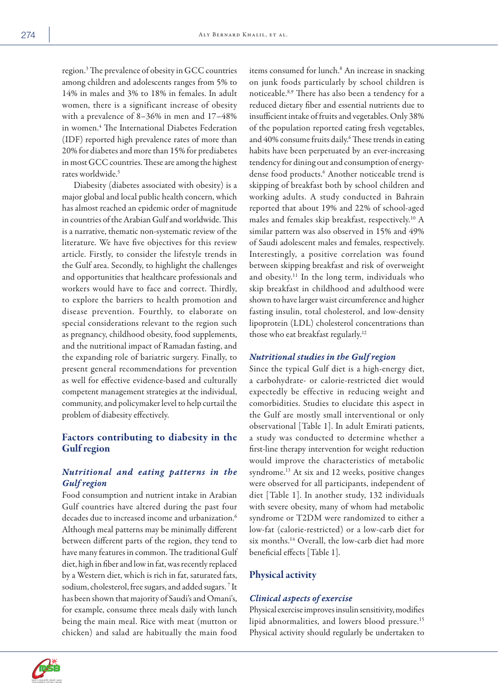region.3 The prevalence of obesity in GCC countries among children and adolescents ranges from 5% to 14% in males and 3% to 18% in females. In adult women, there is a significant increase of obesity with a prevalence of 8–36% in men and 17–48% in women.4 The International Diabetes Federation (IDF) reported high prevalence rates of more than 20% for diabetes and more than 15% for prediabetes in most GCC countries. These are among the highest rates worldwide.5

Diabesity (diabetes associated with obesity) is a major global and local public health concern, which has almost reached an epidemic order of magnitude in countries of the Arabian Gulf and worldwide. This is a narrative, thematic non-systematic review of the literature. We have five objectives for this review article. Firstly, to consider the lifestyle trends in the Gulf area. Secondly, to highlight the challenges and opportunities that healthcare professionals and workers would have to face and correct. Thirdly, to explore the barriers to health promotion and disease prevention. Fourthly, to elaborate on special considerations relevant to the region such as pregnancy, childhood obesity, food supplements, and the nutritional impact of Ramadan fasting, and the expanding role of bariatric surgery. Finally, to present general recommendations for prevention as well for effective evidence-based and culturally competent management strategies at the individual, community, and policymaker level to help curtail the problem of diabesity effectively.

# Factors contributing to diabesity in the Gulf region

# *Nutritional and eating patterns in the Gulf region*

Food consumption and nutrient intake in Arabian Gulf countries have altered during the past four decades due to increased income and urbanization.<sup>6</sup> Although meal patterns may be minimally different between different parts of the region, they tend to have many features in common. The traditional Gulf diet, high in fiber and low in fat, was recently replaced by a Western diet, which is rich in fat, saturated fats, sodium, cholesterol, free sugars, and added sugars.<sup>7</sup> It has been shown that majority of Saudi's and Omani's, for example, consume three meals daily with lunch being the main meal. Rice with meat (mutton or chicken) and salad are habitually the main food

items consumed for lunch.<sup>8</sup> An increase in snacking on junk foods particularly by school children is noticeable.8,9 There has also been a tendency for a reduced dietary fiber and essential nutrients due to insufficient intake of fruits and vegetables. Only 38% of the population reported eating fresh vegetables, and 40% consume fruits daily.<sup>6</sup> These trends in eating habits have been perpetuated by an ever-increasing tendency for dining out and consumption of energydense food products.<sup>6</sup> Another noticeable trend is skipping of breakfast both by school children and working adults. A study conducted in Bahrain reported that about 19% and 22% of school-aged males and females skip breakfast, respectively.10 A similar pattern was also observed in 15% and 49% of Saudi adolescent males and females, respectively. Interestingly, a positive correlation was found between skipping breakfast and risk of overweight and obesity.11 In the long term, individuals who skip breakfast in childhood and adulthood were shown to have larger waist circumference and higher fasting insulin, total cholesterol, and low-density lipoprotein (LDL) cholesterol concentrations than those who eat breakfast regularly.12

# *Nutritional studies in the Gulf region*

Since the typical Gulf diet is a high-energy diet, a carbohydrate- or calorie-restricted diet would expectedly be effective in reducing weight and comorbidities. Studies to elucidate this aspect in the Gulf are mostly small interventional or only observational [Table 1]. In adult Emirati patients, a study was conducted to determine whether a first-line therapy intervention for weight reduction would improve the characteristics of metabolic syndrome.13 At six and 12 weeks, positive changes were observed for all participants, independent of diet [Table 1]. In another study, 132 individuals with severe obesity, many of whom had metabolic syndrome or T2DM were randomized to either a low-fat (calorie-restricted) or a low-carb diet for six months.14 Overall, the low-carb diet had more beneficial effects [Table 1].

# Physical activity

## *Clinical aspects of exercise*

Physical exercise improves insulin sensitivity, modifies lipid abnormalities, and lowers blood pressure.15 Physical activity should regularly be undertaken to

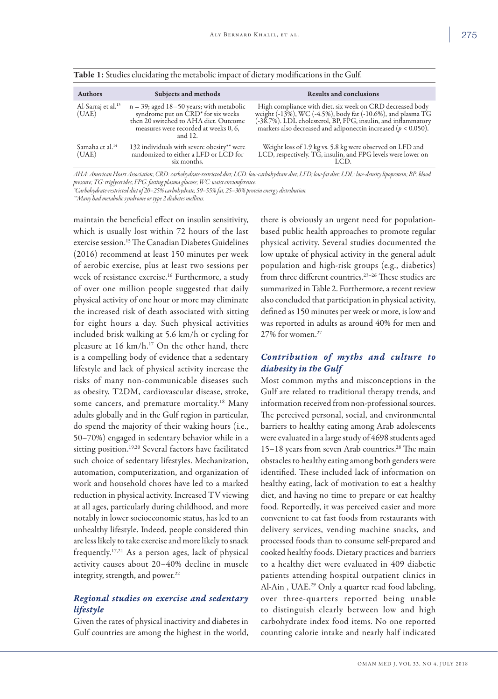| <b>Authors</b>                          | Subjects and methods                                                                                                                                                                          | <b>Results and conclusions</b>                                                                                                                                                                                                                                 |
|-----------------------------------------|-----------------------------------------------------------------------------------------------------------------------------------------------------------------------------------------------|----------------------------------------------------------------------------------------------------------------------------------------------------------------------------------------------------------------------------------------------------------------|
| Al-Sarraj et al. <sup>13</sup><br>(UAE) | $n = 39$ ; aged 18-50 years; with metabolic<br>syndrome put on CRD <sup>*</sup> for six weeks<br>then 20 switched to AHA diet. Outcome<br>measures were recorded at weeks 0, 6,<br>and $12$ . | High compliance with diet. six week on CRD decreased body<br>weight (-13%), WC (-4.5%), body fat (-10.6%), and plasma TG<br>(-38.7%). LDL cholesterol, BP, FPG, insulin, and inflammatory<br>markers also decreased and adiponectin increased ( $p < 0.050$ ). |
| Samaha et al. <sup>14</sup><br>(UAE)    | 132 individuals with severe obesity** were<br>randomized to either a LFD or LCD for<br>six months.                                                                                            | Weight loss of 1.9 kg vs. 5.8 kg were observed on LFD and<br>LCD, respectively. TG, insulin, and FPG levels were lower on                                                                                                                                      |

Table 1: Studies elucidating the metabolic impact of dietary modifications in the Gulf.

*AHA: American Heart Association; CRD: carbohydrate-restricted diet; LCD: low-carbohydrate diet; LFD; low-fat diet; LDL: low-density lipoprotein; BP: blood* 

*pressure; TG: triglycerides; FPG: fasting plasma glucose; WC: waist circumference. \*Carbohydrate-restricted diet of 20–25% carbohydrate, 50–55% fat, 25–30% protein energy distribution.*

*\*\*Many had metabolic syndrome or type 2 diabetes mellitus.* 

maintain the beneficial effect on insulin sensitivity, which is usually lost within 72 hours of the last exercise session.15 The Canadian Diabetes Guidelines (2016) recommend at least 150 minutes per week of aerobic exercise, plus at least two sessions per week of resistance exercise.<sup>16</sup> Furthermore, a study of over one million people suggested that daily physical activity of one hour or more may eliminate the increased risk of death associated with sitting for eight hours a day. Such physical activities included brisk walking at 5.6 km/h or cycling for pleasure at  $16 \text{ km/h}$ .<sup>17</sup> On the other hand, there is a compelling body of evidence that a sedentary lifestyle and lack of physical activity increase the risks of many non-communicable diseases such as obesity, T2DM, cardiovascular disease, stroke, some cancers, and premature mortality.<sup>18</sup> Many adults globally and in the Gulf region in particular, do spend the majority of their waking hours (i.e., 50–70%) engaged in sedentary behavior while in a sitting position.<sup>19,20</sup> Several factors have facilitated such choice of sedentary lifestyles. Mechanization, automation, computerization, and organization of work and household chores have led to a marked reduction in physical activity. Increased TV viewing at all ages, particularly during childhood, and more notably in lower socioeconomic status, has led to an unhealthy lifestyle. Indeed, people considered thin are less likely to take exercise and more likely to snack frequently.17,21 As a person ages, lack of physical activity causes about 20–40% decline in muscle integrity, strength, and power.<sup>22</sup>

# *Regional studies on exercise and sedentary lifestyle*

Given the rates of physical inactivity and diabetes in Gulf countries are among the highest in the world, there is obviously an urgent need for populationbased public health approaches to promote regular physical activity. Several studies documented the low uptake of physical activity in the general adult population and high-risk groups (e.g., diabetics) from three different countries.<sup>23-26</sup> These studies are summarized in Table 2. Furthermore, a recent review also concluded that participation in physical activity, defined as 150 minutes per week or more, is low and was reported in adults as around 40% for men and 27% for women.27

# *Contribution of myths and culture to diabesity in the Gulf*

Most common myths and misconceptions in the Gulf are related to traditional therapy trends, and information received from non-professional sources. The perceived personal, social, and environmental barriers to healthy eating among Arab adolescents were evaluated in a large study of 4698 students aged 15–18 years from seven Arab countries.<sup>28</sup> The main obstacles to healthy eating among both genders were identified. These included lack of information on healthy eating, lack of motivation to eat a healthy diet, and having no time to prepare or eat healthy food. Reportedly, it was perceived easier and more convenient to eat fast foods from restaurants with delivery services, vending machine snacks, and processed foods than to consume self-prepared and cooked healthy foods. Dietary practices and barriers to a healthy diet were evaluated in 409 diabetic patients attending hospital outpatient clinics in Al-Ain, UAE.<sup>29</sup> Only a quarter read food labeling, over three-quarters reported being unable to distinguish clearly between low and high carbohydrate index food items. No one reported counting calorie intake and nearly half indicated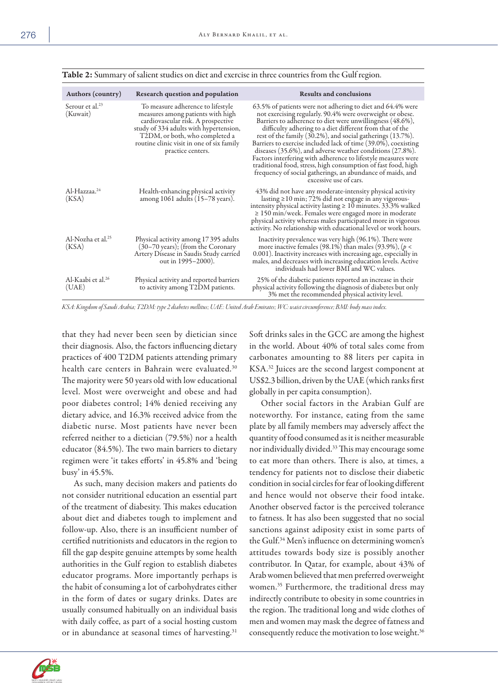| Authors (country)                       | Research question and population                                                                                                                                                                                                                           | <b>Results and conclusions</b>                                                                                                                                                                                                                                                                                                                                                                                                                                                                                                                                                                                                                                          |
|-----------------------------------------|------------------------------------------------------------------------------------------------------------------------------------------------------------------------------------------------------------------------------------------------------------|-------------------------------------------------------------------------------------------------------------------------------------------------------------------------------------------------------------------------------------------------------------------------------------------------------------------------------------------------------------------------------------------------------------------------------------------------------------------------------------------------------------------------------------------------------------------------------------------------------------------------------------------------------------------------|
| Serour et al. <sup>23</sup><br>(Kuwait) | To measure adherence to lifestyle<br>measures among patients with high<br>cardiovascular risk. A prospective<br>study of 334 adults with hypertension,<br>T2DM, or both, who completed a<br>routine clinic visit in one of six family<br>practice centers. | 63.5% of patients were not adhering to diet and 64.4% were<br>not exercising regularly. 90.4% were overweight or obese.<br>Barriers to adherence to diet were unwillingness (48.6%),<br>difficulty adhering to a diet different from that of the<br>rest of the family (30.2%), and social gatherings (13.7%).<br>Barriers to exercise included lack of time (39.0%), coexisting<br>diseases (35.6%), and adverse weather conditions (27.8%).<br>Factors interfering with adherence to lifestyle measures were<br>traditional food, stress, high consumption of fast food, high<br>frequency of social gatherings, an abundance of maids, and<br>excessive use of cars. |
| Al-Hazzaa. <sup>24</sup><br>(KSA)       | Health-enhancing physical activity<br>among $1061$ adults $(15-78$ years).                                                                                                                                                                                 | 43% did not have any moderate-intensity physical activity<br>lasting ≥10 min; 72% did not engage in any vigorous-<br>intensity physical activity lasting $\geq 10$ minutes. 33.3% walked<br>$\geq 150$ min/week. Females were engaged more in moderate<br>physical activity whereas males participated more in vigorous<br>activity. No relationship with educational level or work hours.                                                                                                                                                                                                                                                                              |
| Al-Nozha et al. <sup>25</sup><br>(KSA)  | Physical activity among 17395 adults<br>(30–70 years); (from the Coronary<br>Artery Disease in Saudis Study carried<br>out in 1995–2000).                                                                                                                  | Inactivity prevalence was very high (96.1%). There were<br>more inactive females (98.1%) than males (93.9%), $(p <$<br>0.001). Inactivity increases with increasing age, especially in<br>males, and decreases with increasing education levels. Active<br>individuals had lower BMI and WC values.                                                                                                                                                                                                                                                                                                                                                                     |
| Al-Kaabi et al. <sup>26</sup><br>(UAE)  | Physical activity and reported barriers<br>to activity among T2DM patients.                                                                                                                                                                                | 25% of the diabetic patients reported an increase in their<br>physical activity following the diagnosis of diabetes but only<br>3% met the recommended physical activity level.                                                                                                                                                                                                                                                                                                                                                                                                                                                                                         |

Table 2: Summary of salient studies on diet and exercise in three countries from the Gulf region.

*KSA: Kingdom of Saudi Arabia; T2DM: type 2 diabetes mellitus; UAE: United Arab Emirates; WC: waist circumference; BMI: body mass index.*

that they had never been seen by dietician since their diagnosis. Also, the factors influencing dietary practices of 400 T2DM patients attending primary health care centers in Bahrain were evaluated.<sup>30</sup> The majority were 50 years old with low educational level. Most were overweight and obese and had poor diabetes control; 14% denied receiving any dietary advice, and 16.3% received advice from the diabetic nurse. Most patients have never been referred neither to a dietician (79.5%) nor a health educator (84.5%). The two main barriers to dietary regimen were 'it takes efforts' in 45.8% and 'being busy' in 45.5%.

As such, many decision makers and patients do not consider nutritional education an essential part of the treatment of diabesity. This makes education about diet and diabetes tough to implement and follow-up. Also, there is an insufficient number of certified nutritionists and educators in the region to fill the gap despite genuine attempts by some health authorities in the Gulf region to establish diabetes educator programs. More importantly perhaps is the habit of consuming a lot of carbohydrates either in the form of dates or sugary drinks. Dates are usually consumed habitually on an individual basis with daily coffee, as part of a social hosting custom or in abundance at seasonal times of harvesting.<sup>31</sup>

Soft drinks sales in the GCC are among the highest in the world. About 40% of total sales come from carbonates amounting to 88 liters per capita in KSA.32 Juices are the second largest component at US\$2.3 billion, driven by the UAE (which ranks first globally in per capita consumption).

Other social factors in the Arabian Gulf are noteworthy. For instance, eating from the same plate by all family members may adversely affect the quantity of food consumed as it is neither measurable nor individually divided.33 This may encourage some to eat more than others. There is also, at times, a tendency for patients not to disclose their diabetic condition in social circles for fear of looking different and hence would not observe their food intake. Another observed factor is the perceived tolerance to fatness. It has also been suggested that no social sanctions against adiposity exist in some parts of the Gulf.34 Men's influence on determining women's attitudes towards body size is possibly another contributor. In Qatar, for example, about 43% of Arab women believed that men preferred overweight women.35 Furthermore, the traditional dress may indirectly contribute to obesity in some countries in the region. The traditional long and wide clothes of men and women may mask the degree of fatness and consequently reduce the motivation to lose weight.<sup>36</sup>

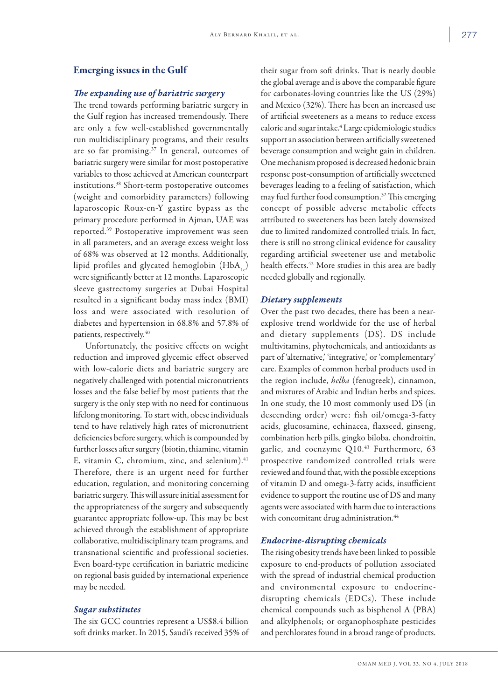### Emerging issues in the Gulf

# *The expanding use of bariatric surgery*

The trend towards performing bariatric surgery in the Gulf region has increased tremendously. There are only a few well-established governmentally run multidisciplinary programs, and their results are so far promising.37 In general, outcomes of bariatric surgery were similar for most postoperative variables to those achieved at American counterpart institutions.38 Short-term postoperative outcomes (weight and comorbidity parameters) following laparoscopic Roux-en-Y gastirc bypass as the primary procedure performed in Ajman, UAE was reported.39 Postoperative improvement was seen in all parameters, and an average excess weight loss of 68% was observed at 12 months. Additionally, lipid profiles and glycated hemoglobin  $(HbA_{1c})$ were significantly better at 12 months. Laparoscopic sleeve gastrectomy surgeries at Dubai Hospital resulted in a significant boday mass index (BMI) loss and were associated with resolution of diabetes and hypertension in 68.8% and 57.8% of patients, respectively.<sup>40</sup>

Unfortunately, the positive effects on weight reduction and improved glycemic effect observed with low-calorie diets and bariatric surgery are negatively challenged with potential micronutrients losses and the false belief by most patients that the surgery is the only step with no need for continuous lifelong monitoring. To start with, obese individuals tend to have relatively high rates of micronutrient deficiencies before surgery, which is compounded by further losses after surgery (biotin, thiamine, vitamin E, vitamin C, chromium, zinc, and selenium). $41$ Therefore, there is an urgent need for further education, regulation, and monitoring concerning bariatric surgery. This will assure initial assessment for the appropriateness of the surgery and subsequently guarantee appropriate follow-up. This may be best achieved through the establishment of appropriate collaborative, multidisciplinary team programs, and transnational scientific and professional societies. Even board-type certification in bariatric medicine on regional basis guided by international experience may be needed.

#### *Sugar substitutes*

The six GCC countries represent a US\$8.4 billion soft drinks market. In 2015, Saudi's received 35% of their sugar from soft drinks. That is nearly double the global average and is above the comparable figure for carbonates-loving countries like the US (29%) and Mexico (32%). There has been an increased use of artificial sweeteners as a means to reduce excess calorie and sugar intake.4 Large epidemiologic studies support an association between artificially sweetened beverage consumption and weight gain in children. One mechanism proposed is decreased hedonic brain response post-consumption of artificially sweetened beverages leading to a feeling of satisfaction, which may fuel further food consumption.<sup>32</sup> This emerging concept of possible adverse metabolic effects attributed to sweeteners has been lately downsized due to limited randomized controlled trials. In fact, there is still no strong clinical evidence for causality regarding artificial sweetener use and metabolic health effects.<sup>42</sup> More studies in this area are badly needed globally and regionally.

#### *Dietary supplements*

Over the past two decades, there has been a nearexplosive trend worldwide for the use of herbal and dietary supplements (DS). DS include multivitamins, phytochemicals, and antioxidants as part of 'alternative,' 'integrative,' or 'complementary' care. Examples of common herbal products used in the region include, *helba* (fenugreek), cinnamon, and mixtures of Arabic and Indian herbs and spices. In one study, the 10 most commonly used DS (in descending order) were: fish oil/omega-3-fatty acids, glucosamine, echinacea, flaxseed, ginseng, combination herb pills, gingko biloba, chondroitin, garlic, and coenzyme  $Q10.<sup>43</sup>$  Furthermore, 63 prospective randomized controlled trials were reviewed and found that, with the possible exceptions of vitamin D and omega-3-fatty acids, insufficient evidence to support the routine use of DS and many agents were associated with harm due to interactions with concomitant drug administration.<sup>44</sup>

#### *Endocrine-disrupting chemicals*

The rising obesity trends have been linked to possible exposure to end-products of pollution associated with the spread of industrial chemical production and environmental exposure to endocrinedisrupting chemicals (EDCs). These include chemical compounds such as bisphenol A (PBA) and alkylphenols; or organophosphate pesticides and perchlorates found in a broad range of products.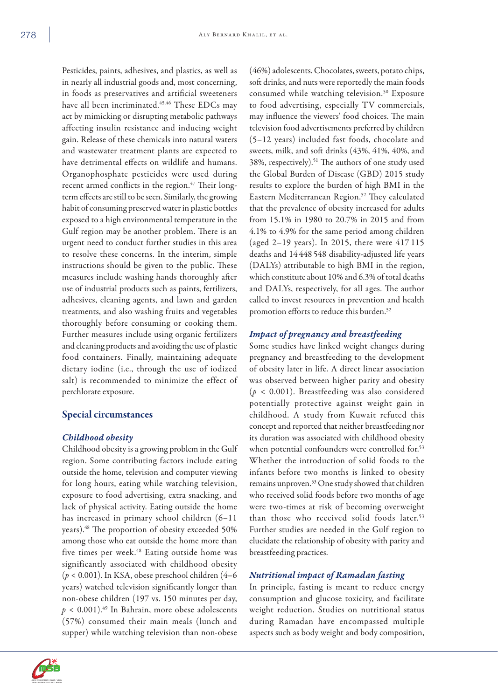Pesticides, paints, adhesives, and plastics, as well as in nearly all industrial goods and, most concerning, in foods as preservatives and artificial sweeteners have all been incriminated.<sup>45,46</sup> These EDCs may act by mimicking or disrupting metabolic pathways affecting insulin resistance and inducing weight gain. Release of these chemicals into natural waters and wastewater treatment plants are expected to have detrimental effects on wildlife and humans. Organophosphate pesticides were used during recent armed conflicts in the region.<sup>47</sup> Their longterm effects are still to be seen. Similarly, the growing habit of consuming preserved water in plastic bottles exposed to a high environmental temperature in the Gulf region may be another problem. There is an urgent need to conduct further studies in this area to resolve these concerns. In the interim, simple instructions should be given to the public. These measures include washing hands thoroughly after use of industrial products such as paints, fertilizers, adhesives, cleaning agents, and lawn and garden treatments, and also washing fruits and vegetables thoroughly before consuming or cooking them. Further measures include using organic fertilizers and cleaning products and avoiding the use of plastic food containers. Finally, maintaining adequate dietary iodine (i.e., through the use of iodized salt) is recommended to minimize the effect of perchlorate exposure.

# Special circumstances

## *Childhood obesity*

Childhood obesity is a growing problem in the Gulf region. Some contributing factors include eating outside the home, television and computer viewing for long hours, eating while watching television, exposure to food advertising, extra snacking, and lack of physical activity. Eating outside the home has increased in primary school children (6–11 years).48 The proportion of obesity exceeded 50% among those who eat outside the home more than five times per week.<sup>48</sup> Eating outside home was significantly associated with childhood obesity (*p* < 0.001). In KSA, obese preschool children (4–6 years) watched television significantly longer than non-obese children (197 vs. 150 minutes per day,  $p < 0.001$ .<sup>49</sup> In Bahrain, more obese adolescents (57%) consumed their main meals (lunch and supper) while watching television than non-obese

(46%) adolescents. Chocolates, sweets, potato chips, soft drinks, and nuts were reportedly the main foods consumed while watching television.<sup>50</sup> Exposure to food advertising, especially TV commercials, may influence the viewers' food choices. The main television food advertisements preferred by children (5–12 years) included fast foods, chocolate and sweets, milk, and soft drinks (43%, 41%, 40%, and 38%, respectively).<sup>51</sup> The authors of one study used the Global Burden of Disease (GBD) 2015 study results to explore the burden of high BMI in the Eastern Mediterranean Region.52 They calculated that the prevalence of obesity increased for adults from 15.1% in 1980 to 20.7% in 2015 and from 4.1% to 4.9% for the same period among children (aged 2–19 years). In 2015, there were 417 115 deaths and 14 448 548 disability-adjusted life years (DALYs) attributable to high BMI in the region, which constitute about 10% and 6.3% of total deaths and DALYs, respectively, for all ages. The author called to invest resources in prevention and health promotion efforts to reduce this burden.<sup>52</sup>

## *Impact of pregnancy and breastfeeding*

Some studies have linked weight changes during pregnancy and breastfeeding to the development of obesity later in life. A direct linear association was observed between higher parity and obesity (*p* < 0.001). Breastfeeding was also considered potentially protective against weight gain in childhood. A study from Kuwait refuted this concept and reported that neither breastfeeding nor its duration was associated with childhood obesity when potential confounders were controlled for.<sup>53</sup> Whether the introduction of solid foods to the infants before two months is linked to obesity remains unproven.53 One study showed that children who received solid foods before two months of age were two-times at risk of becoming overweight than those who received solid foods later.<sup>53</sup> Further studies are needed in the Gulf region to elucidate the relationship of obesity with parity and breastfeeding practices.

# *Nutritional impact of Ramadan fasting*

In principle, fasting is meant to reduce energy consumption and glucose toxicity, and facilitate weight reduction. Studies on nutritional status during Ramadan have encompassed multiple aspects such as body weight and body composition,

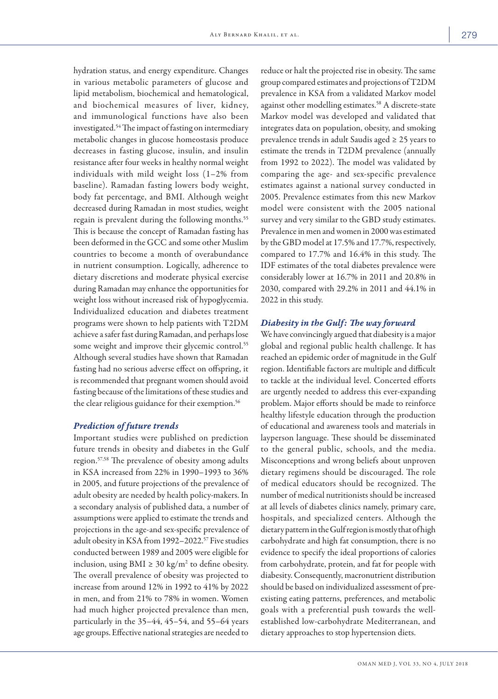hydration status, and energy expenditure. Changes in various metabolic parameters of glucose and lipid metabolism, biochemical and hematological, and biochemical measures of liver, kidney, and immunological functions have also been investigated.54 The impact of fasting on intermediary metabolic changes in glucose homeostasis produce decreases in fasting glucose, insulin, and insulin resistance after four weeks in healthy normal weight individuals with mild weight loss (1–2% from baseline). Ramadan fasting lowers body weight, body fat percentage, and BMI. Although weight decreased during Ramadan in most studies, weight regain is prevalent during the following months.<sup>55</sup> This is because the concept of Ramadan fasting has been deformed in the GCC and some other Muslim countries to become a month of overabundance in nutrient consumption. Logically, adherence to dietary discretions and moderate physical exercise during Ramadan may enhance the opportunities for weight loss without increased risk of hypoglycemia. Individualized education and diabetes treatment programs were shown to help patients with T2DM achieve a safer fast during Ramadan, and perhaps lose some weight and improve their glycemic control.<sup>55</sup> Although several studies have shown that Ramadan fasting had no serious adverse effect on offspring, it is recommended that pregnant women should avoid fasting because of the limitations of these studies and the clear religious guidance for their exemption.<sup>56</sup>

#### *Prediction of future trends*

Important studies were published on prediction future trends in obesity and diabetes in the Gulf region.57,58 The prevalence of obesity among adults in KSA increased from 22% in 1990–1993 to 36% in 2005, and future projections of the prevalence of adult obesity are needed by health policy-makers. In a secondary analysis of published data, a number of assumptions were applied to estimate the trends and projections in the age-and sex-specific prevalence of adult obesity in KSA from 1992-2022.<sup>57</sup> Five studies conducted between 1989 and 2005 were eligible for inclusion, using  $BMI \geq 30 \text{ kg/m}^2$  to define obesity. The overall prevalence of obesity was projected to increase from around 12% in 1992 to 41% by 2022 in men, and from 21% to 78% in women. Women had much higher projected prevalence than men, particularly in the 35–44, 45–54, and 55–64 years age groups. Effective national strategies are needed to

reduce or halt the projected rise in obesity. The same group compared estimates and projections of T2DM prevalence in KSA from a validated Markov model against other modelling estimates.58 A discrete-state Markov model was developed and validated that integrates data on population, obesity, and smoking prevalence trends in adult Saudis aged ≥ 25 years to estimate the trends in T2DM prevalence (annually from 1992 to 2022). The model was validated by comparing the age- and sex-specific prevalence estimates against a national survey conducted in 2005. Prevalence estimates from this new Markov model were consistent with the 2005 national survey and very similar to the GBD study estimates. Prevalence in men and women in 2000 was estimated by the GBD model at 17.5% and 17.7%, respectively, compared to 17.7% and 16.4% in this study. The IDF estimates of the total diabetes prevalence were considerably lower at 16.7% in 2011 and 20.8% in 2030, compared with 29.2% in 2011 and 44.1% in 2022 in this study.

## *Diabesity in the Gulf: The way forward*

We have convincingly argued that diabesity is a major global and regional public health challenge. It has reached an epidemic order of magnitude in the Gulf region. Identifiable factors are multiple and difficult to tackle at the individual level. Concerted efforts are urgently needed to address this ever-expanding problem. Major efforts should be made to reinforce healthy lifestyle education through the production of educational and awareness tools and materials in layperson language. These should be disseminated to the general public, schools, and the media. Misconceptions and wrong beliefs about unproven dietary regimens should be discouraged. The role of medical educators should be recognized. The number of medical nutritionists should be increased at all levels of diabetes clinics namely, primary care, hospitals, and specialized centers. Although the dietary pattern in the Gulf region is mostly that of high carbohydrate and high fat consumption, there is no evidence to specify the ideal proportions of calories from carbohydrate, protein, and fat for people with diabesity. Consequently, macronutrient distribution should be based on individualized assessment of preexisting eating patterns, preferences, and metabolic goals with a preferential push towards the wellestablished low-carbohydrate Mediterranean, and dietary approaches to stop hypertension diets.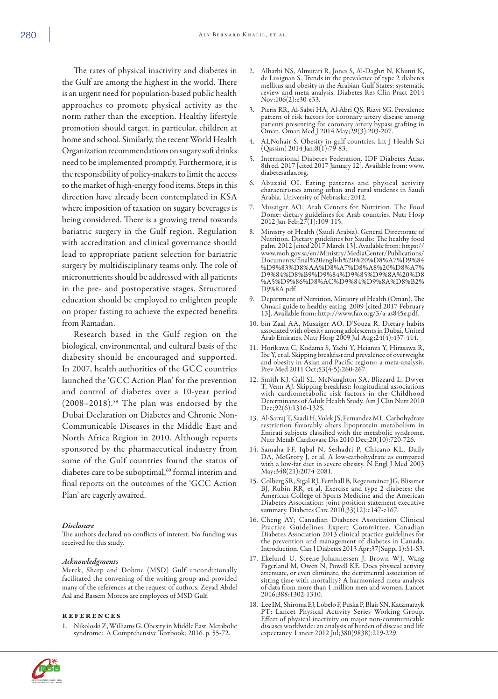The rates of physical inactivity and diabetes in the Gulf are among the highest in the world. There is an urgent need for population-based public health approaches to promote physical activity as the norm rather than the exception. Healthy lifestyle promotion should target, in particular, children at home and school. Similarly, the recent World Health Organization recommendations on sugary soft drinks need to be implemented promptly. Furthermore, it is the responsibility of policy-makers to limit the access to the market of high-energy food items. Steps in this direction have already been contemplated in KSA where imposition of taxation on sugary beverages is being considered. There is a growing trend towards bariatric surgery in the Gulf region. Regulation with accreditation and clinical governance should lead to appropriate patient selection for bariatric surgery by multidisciplinary teams only. The role of micronutrients should be addressed with all patients in the pre- and postoperative stages. Structured education should be employed to enlighten people on proper fasting to achieve the expected benefits from Ramadan.

Research based in the Gulf region on the biological, environmental, and cultural basis of the diabesity should be encouraged and supported. In 2007, health authorities of the GCC countries launched the 'GCC Action Plan' for the prevention and control of diabetes over a 10-year period  $(2008-2018).$ <sup>59</sup> The plan was endorsed by the Dubai Declaration on Diabetes and Chronic Non-Communicable Diseases in the Middle East and North Africa Region in 2010. Although reports sponsored by the pharmaceutical industry from some of the Gulf countries found the status of diabetes care to be suboptimal,<sup>60</sup> formal interim and final reports on the outcomes of the 'GCC Action Plan' are eagerly awaited.

#### *Disclosure*

The authors declared no conflicts of interest. No funding was received for this study.

#### *Acknowledgments*

Merck, Sharp and Dohme (MSD) Gulf unconditionally facilitated the convening of the writing group and provided many of the references at the request of authors. Zeyad Abdel Aal and Bassem Morcos are employees of MSD Gulf.

#### references

1. Nikoloski Z, Williams G. Obesity in Middle East. Metabolic syndrome: A Comprehensive Textbook; 2016. p. 55-72.

- 2. Alharbi NS, Almutari R, Jones S, Al-Daghri N, Khunti K, de Lusignan S. Trends in the prevalence of type 2 diabetes mellitus and obesity in the Arabian Gulf States: systematic review and meta-analysis. Diabetes Res Clin Pract 2014 Nov;106(2):e30-e33.
- 3. Pieris RR, Al-Sabti HA, Al-Abri QS, Rizvi SG. Prevalence pattern of risk factors for coronary artery disease among patients presenting for coronary artery bypass grafting in Oman. Oman Med J 2014 May;29(3):203-207.
- 4. ALNohair S. Obesity in gulf countries. Int J Health Sci  $(Qassim)$  2014 Jan;8 $(1)$ :79-83.
- 5. International Diabetes Federation. IDF Diabetes Atlas. 8thed. 2017 [cited 2017 January 12]. Available from: www. diabetesatlas.org.
- 6. Abuzaid OI. Eating patterns and physical activity characteristics among urban and rural students in Saudi Arabia. University of Nebraska; 2012.
- 7. Musaiger AO; Arab Centers for Nutrition. The Food Dome: dietary guidelines for Arab countries. Nutr Hosp 2012 Jan-Feb;27(1):109-115.
- 8. Ministry of Health (Saudi Arabia). General Directorate of Nutrition. Dietary guidelines for Saudis: The healthy food palm. 2012 [cited 2017 March 13]. Available from: https:// www.moh.gov.sa/en/Ministry/MediaCenter/Publications/ Documents/final%20english%20%20%D8%A7%D9%84 %D9%83%D8%AA%D8%A7%D8%A8%20%D8%A7% D9%84%D8%B9%D9%84%D9%85%D9%8A%20%D8 %A5%D9%86%D8%AC%D9%84%D9%8A%D8%B2% D9%8A.pdf.
- 9. Department of Nutrition, Ministry of Health (Oman). The Omani guide to healthy eating. 2009 [cited 2017 February 13]. Available from: http://www.fao.org/3/a-as845e.pdf.
- 10. bin Zaal AA, Musaiger AO, D'Souza R. Dietary habits associated with obesity among adolescents in Dubai, United Arab Emirates. Nutr Hosp 2009 Jul-Aug;24(4):437-444.
- 11. Horikawa C, Kodama S, Yachi Y, Heianza Y, Hirasawa R, Ibe Y, et al. Skipping breakfast and prevalence of overweight and obesity in Asian and Pacific regions: a meta-analysis. Prev Med 2011 Oct;53(4-5):260-267.
- 12. Smith KJ, Gall SL, McNaughton SA, Blizzard L, Dwyer T, Venn AJ. Skipping breakfast: longitudinal associations with cardiometabolic risk factors in the Childhood Determinants of Adult Health Study. Am J Clin Nutr 2010 Dec;92(6):1316-1325.
- 13. Al-Sarraj T, Saadi H, Volek JS, Fernandez ML. Carbohydrate restriction favorably alters lipoprotein metabolism in Emirati subjects classified with the metabolic syndrome. Nutr Metab Cardiovasc Dis 2010 Dec;20(10):720-726.
- 14. Samaha FF, Iqbal N, Seshadri P, Chicano KL, Daily DA, McGrory J, et al. A low-carbohydrate as compared with a low-fat diet in severe obesity. N Engl J Med 2003 May;348(21):2074-2081.
- 15. Colberg SR, Sigal RJ, Fernhall B, Regensteiner JG, Blissmer BJ, Rubin RR, et al. Exercise and type 2 diabetes: the American College of Sports Medicine and the American Diabetes Association: joint position statement executive summary. Diabetes Care 2010;33(12):e147-e167.
- 16. Cheng AY; Canadian Diabetes Association Clinical Practice Guidelines Expert Committee. Canadian Diabetes Association 2013 clinical practice guidelines for the prevention and management of diabetes in Canada. Introduction. Can J Diabetes 2013 Apr;37(Suppl 1):S1-S3.
- 17. Ekelund U, Steene-Johannessen J, Brown WJ, Wang Fagerland M, Owen N, Powell KE. Does physical activity attenuate, or even eliminate, the detrimental association of sitting time with mortality? A harmonized meta-analysis of data from more than 1 million men and women. Lancet 2016;388:1302-1310.
- 18. Lee IM, Shiroma EJ, Lobelo F, Puska P, Blair SN, Katzmarzyk PT; Lancet Physical Activity Series Working Group. Effect of physical inactivity on major non-communicable diseases worldwide: an analysis of burden of disease and life expectancy. Lancet 2012 Jul;380(9838):219-229.

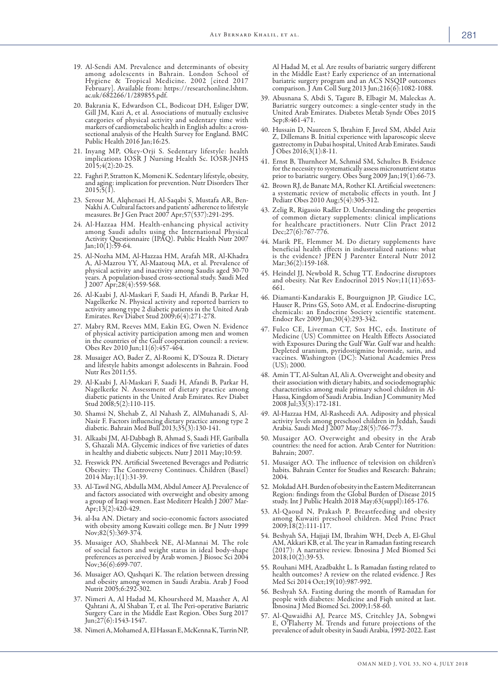- 19. Al-Sendi AM. Prevalence and determinants of obesity among adolescents in Bahrain. London School of Hygiene & Tropical Medicine. 2002 [cited 2017 February]. Available from: https://researchonline.lshtm. ac.uk/682266/1/289855.pdf.
- 20. Bakrania K, Edwardson CL, Bodicoat DH, Esliger DW, Gill JM, Kazi A, et al. Associations of mutually exclusive categories of physical activity and sedentary time with markers of cardiometabolic health in English adults: a crosssectional analysis of the Health Survey for England. BMC Public Health 2016 Jan;16:25.
- 21. Inyang MP, Okey-Orji S. Sedentary lifestyle: health implications IOSR J Nursing Health Sc. IOSR-JNHS 2015;4(2):20-25.
- 22. Faghri P, Stratton K, Momeni K. Sedentary lifestyle, obesity, and aging: implication for prevention. Nutr Disorders Ther  $2015;5(1).$
- 23. Serour M, Alqhenaei H, Al-Saqabi S, Mustafa AR, Ben-Nakhi A. Cultural factors and patients' adherence to lifestyle measures. Br J Gen Pract 2007 Apr;57(537):291-295.
- 24. Al-Hazzaa HM. Health-enhancing physical activity among Saudi adults using the International Physical Activity Questionnaire (IPAQ). Public Health Nutr 2007 Jan;10(1):59-64.
- 25. Al-Nozha MM, Al-Hazzaa HM, Arafah MR, Al-Khadra physical activity and inactivity among Saudis aged 30-70 years. A population-based cross-sectional study. Saudi Med J 2007 Apr;28(4):559-568.
- 26. Al-Kaabi J, Al-Maskari F, Saadi H, Afandi B, Parkar H, Nagelkerke N. Physical activity and reported barriers to activity among type 2 diabetic patients in the United Arab Emirates. Rev Diabet Stud 2009;6(4):271-278.
- 27. Mabry RM, Reeves MM, Eakin EG, Owen N. Evidence of physical activity participation among men and women in the countries of the Gulf cooperation council: a review. Obes Rev 2010 Jun;11(6):457-464.
- 28. Musaiger AO, Bader Z, Al-Roomi K, D'Souza R. Dietary and lifestyle habits amongst adolescents in Bahrain. Food Nutr Res 2011;55.
- 29. Al-Kaabi J, Al-Maskari F, Saadi H, Afandi B, Parkar H, Nagelkerke N. Assessment of dietary practice among diabetic patients in the United Arab Emirates. Rev Diabet Stud 2008;5(2):110-115.
- 30. Shamsi N, Shehab Z, Al Nahash Z, AlMuhanadi S, Al-Nasir F. Factors influencing dietary practice among type 2 diabetic. Bahrain Med Bull 2013;35(3):130-141.
- 31. Alkaabi JM, Al-Dabbagh B, Ahmad S, Saadi HF, Gariballa S, Ghazali MA. Glycemic indices of five varieties of dates in healthy and diabetic subjects. Nutr J 2011 May;10:59.
- 32. Freswick PN. Artificial Sweetened Beverages and Pediatric Obesity: The Controversy Continues. Children (Basel) 2014 May;1(1):31-39.
- 33. Al-Tawil NG, Abdulla MM, Abdul Ameer AJ. Prevalence of and factors associated with overweight and obesity among a group of Iraqi women. East Mediterr Health J 2007 Mar-Apr;13(2):420-429.
- 34. al-Isa AN. Dietary and socio-economic factors associated with obesity among Kuwaiti college men. Br J Nutr 1999 Nov;82(5):369-374.
- 35. Musaiger AO, Shahbeek NE, Al-Mannai M. The role of social factors and weight status in ideal body-shape preferences as perceived by Arab women. J Biosoc Sci 2004 Nov;36(6):699-707.
- 36. Musaiger AO, Qashqari K. The relation between dressing and obesity among women in Saudi Arabia. Arab J Food Nutrit 2005;6:292-302.
- 37. Nimeri A, Al Hadad M, Khoursheed M, Maasher A, Al Qahtani A, Al Shaban T, et al. The Peri-operative Bariatric Surgery Care in the Middle East Region. Obes Surg 2017 Jun;27(6):1543-1547.
- 38. Nimeri A, Mohamed A, El Hassan E, McKenna K, Turrin NP,

Al Hadad M, et al. Are results of bariatric surgery different in the Middle East? Early experience of an international bariatric surgery program and an ACS NSQIP outcomes comparison. J Am Coll Surg 2013 Jun;216(6):1082-1088.

- 39. Abusnana S, Abdi S, Tagure B, Elbagir M, Maleckas A. Bariatric surgery outcomes: a single-center study in the United Arab Emirates. Diabetes Metab Syndr Obes 2015 Sep;8:461-471.
- 40. Hussain D, Naureen S, Ibrahim F, Javed SM, Abdel Aziz Z, Dillemans B. Initial experience with laparoscopic sleeve gastrectomy in Dubai hospital, United Arab Emirates. Saudi  $J$  Obes 2016;3(1):8-11.
- 41. Ernst B, Thurnheer M, Schmid SM, Schultes B. Evidence for the necessity to systematically assess micronutrient status prior to bariatric surgery. Obes Surg 2009 Jan;19(1):66-73.
- 42. Brown RJ, de Banate MA, Rother KI. Artificial sweeteners: a systematic review of metabolic effects in youth. Int J Pediatr Obes 2010 Aug;5(4):305-312.
- 43. Zelig R, Rigassio Radler D. Understanding the properties of common dietary supplements: clinical implications for healthcare practitioners. Nutr Clin Pract 2012 Dec;27(6):767-776.
- 44. Marik PE, Flemmer M. Do dietary supplements have beneficial health effects in industrialized nations: what is the evidence? JPEN J Parenter Enteral Nutr 2012 Mar;36(2):159-168.
- 45. Heindel JJ, Newbold R, Schug TT. Endocrine disruptors and obesity. Nat Rev Endocrinol 2015 Nov;11(11):653- 661.
- 46. Diamanti-Kandarakis E, Bourguignon JP, Giudice LC, Hauser R, Prins GS, Soto AM, et al. Endocrine-disrupting chemicals: an Endocrine Society scientific statement. Endocr Rev 2009 Jun;30(4):293-342.
- 47. Fulco CE, Liverman CT, Sox HC, eds. Institute of Medicine (US) Committee on Health Effects Associated with Exposures During the Gulf War. Gulf war and health: Depleted uranium, pyridostigmine bromide, sarin, and vaccines. Washington (DC): National Academies Press (US); 2000.
- 48. Amin TT, Al-Sultan AI, Ali A. Overweight and obesity and their association with dietary habits, and sociodemographic characteristics among male primary school children in Al-Hassa, Kingdom of Saudi Arabia. Indian J Community Med  $2008$  Jul;  $3\overline{3}(3)$ : 172-181.
- 49. Al-Hazzaa HM, Al-Rasheedi AA. Adiposity and physical activity levels among preschool children in Jeddah, Saudi Arabia. Saudi Med J 2007 May;28(5):766-773.
- 50. Musaiger AO. Overweight and obesity in the Arab countries: the need for action. Arab Center for Nutrition: Bahrain; 2007.
- 51. Musaiger AO. The influence of television on children's habits. Bahrain Center for Studies and Research: Bahrain; 2004.
- 52. Mokdad AH. Burden of obesity in the Eastern Mediterranean Region: findings from the Global Burden of Disease 2015 study. Int J Public Health 2018 May;63(suppl):165-176.
- 53. Al-Qaoud N, Prakash P. Breastfeeding and obesity among Kuwaiti preschool children. Med Princ Pract 2009;18(2):111-117.
- 54. Beshyah SA, Hajjaji IM, Ibrahim WH, Deeb A, El-Ghul AM, Akkari KB, et al. The year in Ramadan fasting research (2017): A narrative review. Ibnosina J Med Biomed Sci  $2018;10(2):39-53.$
- 55. Rouhani MH, Azadbakht L. Is Ramadan fasting related to health outcomes? A review on the related evidence. J Res Med Sci 2014 Oct;19(10):987-992.
- 56. Beshyah SA. Fasting during the month of Ramadan for people with diabetes: Medicine and Fiqh united at last. Ibnosina J Med Biomed Sci. 2009;1:58-60.
- 57. Al-Quwaidhi AJ, Pearce MS, Critchley JA, Sobngwi E, O'Flaherty M. Trends and future projections of the prevalence of adult obesity in Saudi Arabia, 1992-2022. East